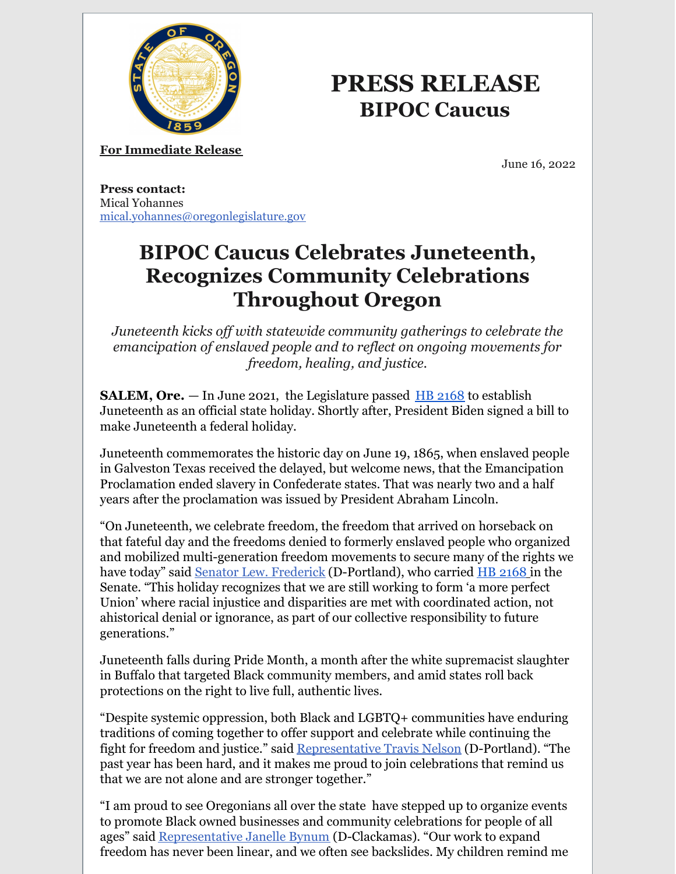

# **PRESS RELEASE BIPOC Caucus**

**For Immediate Release**

June 16, 2022

**Press contact:** Mical Yohannes [mical.yohannes@oregonlegislature.gov](mailto:hannah.kurowski@oregonlegislature.gov)

## **BIPOC Caucus Celebrates Juneteenth, Recognizes Community Celebrations Throughout Oregon**

*Juneteenth kicks of with statewide community gatherings to celebrate the emancipation of enslaved people and to reflect on ongoing movements for freedom, healing, and justice.*

**SALEM, Ore.** — In June 2021, the Legislature passed [HB](https://olis.oregonlegislature.gov/liz/2021R1/Measures/Overview/HB2168) [2168](https://olis.oregonlegislature.gov/liz/2021R1/Measures/Overview/HB2168) to establish Juneteenth as an official state holiday. Shortly after, President Biden signed a bill to make Juneteenth a federal holiday.

Juneteenth commemorates the historic day on June 19, 1865, when enslaved people in Galveston Texas received the delayed, but welcome news, that the Emancipation Proclamation ended slavery in Confederate states. That was nearly two and a half years after the proclamation was issued by President Abraham Lincoln.

"On Juneteenth, we celebrate freedom, the freedom that arrived on horseback on that fateful day and the freedoms denied to formerly enslaved people who organized and mobilized multi-generation freedom movements to secure many of the rights we have today" said Senator Lew. [Frederick](https://www.oregonlegislature.gov/frederick) (D-Portland), who carried [HB](https://olis.oregonlegislature.gov/liz/2021R1/Measures/Overview/HB2168) [2168](https://olis.oregonlegislature.gov/liz/2021R1/Measures/Overview/HB2168) in the Senate. "This holiday recognizes that we are still working to form 'a more perfect Union' where racial injustice and disparities are met with coordinated action, not ahistorical denial or ignorance, as part of our collective responsibility to future generations."

Juneteenth falls during Pride Month, a month after the white supremacist slaughter in Buffalo that targeted Black community members, and amid states roll back protections on the right to live full, authentic lives.

"Despite systemic oppression, both Black and LGBTQ+ communities have enduring traditions of coming together to offer support and celebrate while continuing the fight for freedom and justice." said Representative Travis Nelson (D-Portland). "The past year has been hard, and it makes me proud to join celebrations that remind us that we are not alone and are stronger together."

"I am proud to see Oregonians all over the state have stepped up to organize events to promote Black owned businesses and community celebrations for people of all ages" said [Representative](https://www.oregonlegislature.gov/bynum) Janelle Bynum (D-Clackamas). "Our work to expand freedom has never been linear, and we often see backslides. My children remind me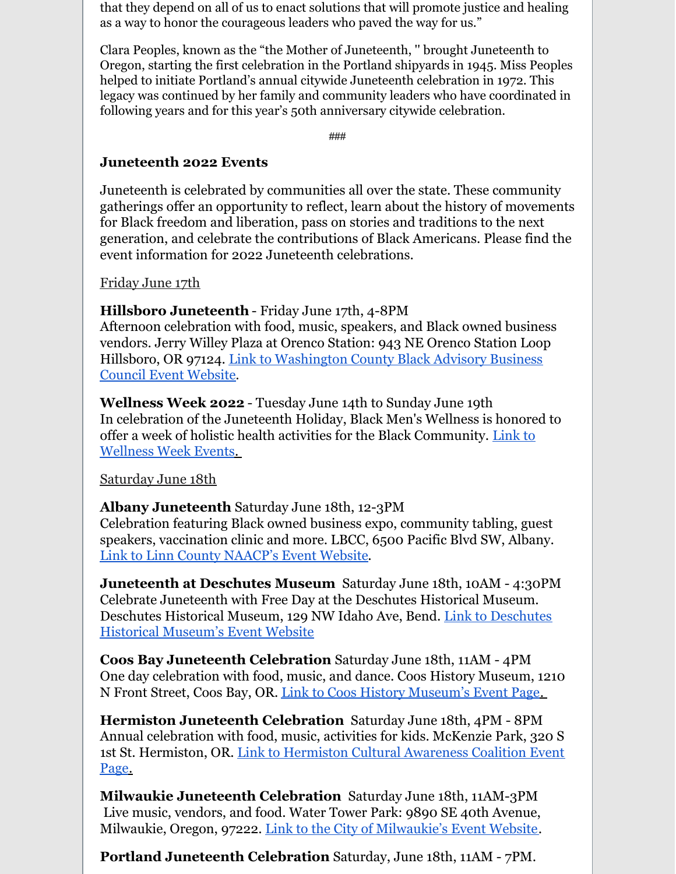that they depend on all of us to enact solutions that will promote justice and healing as a way to honor the courageous leaders who paved the way for us."

Clara Peoples, known as the "the Mother of Juneteenth, '' brought Juneteenth to Oregon, starting the first celebration in the Portland shipyards in 1945. Miss Peoples helped to initiate Portland's annual citywide Juneteenth celebration in 1972. This legacy was continued by her family and community leaders who have coordinated in following years and for this year's 50th anniversary citywide celebration.

###

## **Juneteenth 2022 Events**

Juneteenth is celebrated by communities all over the state. These community gatherings offer an opportunity to reflect, learn about the history of movements for Black freedom and liberation, pass on stories and traditions to the next generation, and celebrate the contributions of Black Americans. Please find the event information for 2022 Juneteenth celebrations.

#### Friday June 17th

## **Hillsboro Juneteenth** - Friday June 17th, 4-8PM

Afternoon celebration with food, music, speakers, and Black owned business vendors. Jerry Willey Plaza at Orenco Station: 943 NE Orenco Station Loop Hillsboro, OR 97124. Link to [Washington](https://web.washingtoncountychamberor.com/events/BlackAdvisory Business Council  Juneteenth Celebration -10859/details) County Black Advisory Business Council Event Website.

**Wellness Week 2022** - Tuesday June 14th to Sunday June 19th In celebration of the Juneteenth Holiday, Black Men's Wellness is honored to offer a week of holistic health activities for the Black [Community.](https://www.eventbrite.com/cc/wellness-week-2022-414919) Link to Wellness Week Events.

## Saturday June 18th

## **Albany Juneteenth** Saturday June 18th, 12-3PM

Celebration featuring Black owned business expo, community tabling, guest speakers, vaccination clinic and more. LBCC, 6500 Pacific Blvd SW, Albany. Link to Linn County [NAACP's](https://linnbentonnaacp.com/Juneteenth-Celebration) Event Website.

**Juneteenth at Deschutes Museum** Saturday June 18th, 10AM - 4:30PM Celebrate Juneteenth with Free Day at the Deschutes Historical Museum. [Deschutes](https://www.deschuteshistory.org/events/juneteenth-free-day-at-deschutes-historical-museum/) Historical Museum, 129 NW Idaho Ave, Bend. Link to Deschutes Historical Museum's Event Website

**Coos Bay Juneteenth Celebration** Saturday June 18th, 11AM - 4PM One day celebration with food, music, and dance. Coos History Museum, 1210 N Front Street, Coos Bay, OR. Link to Coos History [Museum's](https://cooshistory.org/events/juneteenth/) Event Page.

**Hermiston Juneteenth Celebration** Saturday June 18th, 4PM - 8PM Annual celebration with food, music, activities for kids. McKenzie Park, 320 S 1st St. [Hermiston,](https://allevents.in/hermiston/juneteenth-hermiston/200022706525552) OR. Link to Hermiston Cultural Awareness Coalition Event Page.

**Milwaukie Juneteenth Celebration** Saturday June 18th, 11AM-3PM Live music, vendors, and food. Water Tower Park: 9890 SE 40th Avenue, Milwaukie, Oregon, 97222. Link to the City of [Milwaukie's](https://www.milwaukieoregon.gov/events/juneteenth) Event Website.

**Portland Juneteenth Celebration** Saturday, June 18th, 11AM - 7PM.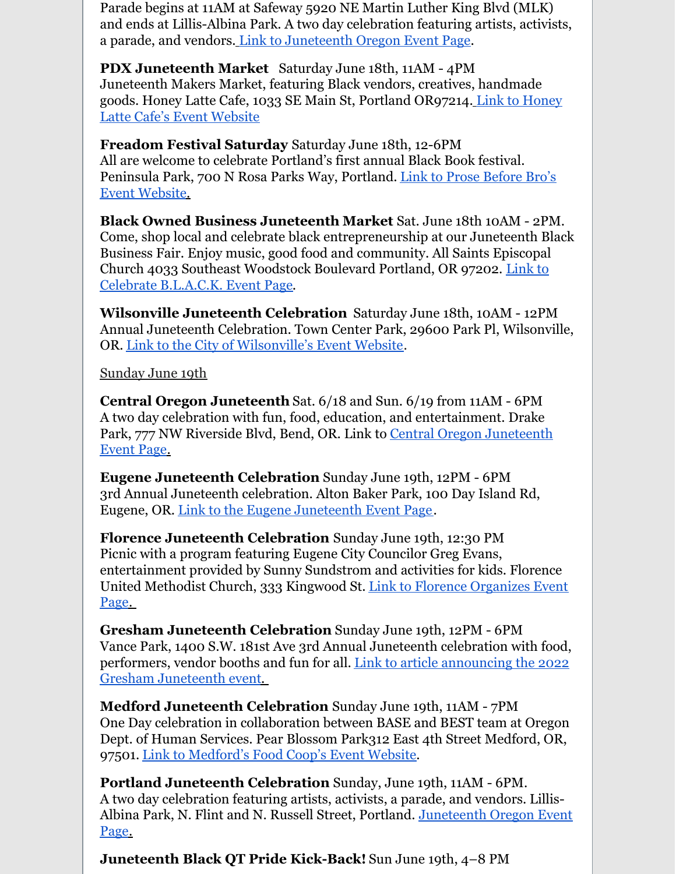Parade begins at 11AM at Safeway 5920 NE Martin Luther King Blvd (MLK) and ends at Lillis-Albina Park. A two day celebration featuring artists, activists, a parade, and vendors. Link to [Juneteenth](https://www.juneteenthor.com/) Oregon Event Page.

**PDX Juneteenth Market** Saturday June 18th, 11AM - 4PM Juneteenth Makers Market, featuring Black vendors, creatives, handmade goods. Honey Latte Cafe, 1033 SE Main St, Portland [OR97214.](https://www.eventbrite.com/e/juneteenth-makers-marketplace-tickets-343901648087) Link to Honey Latte Cafe's Event Website

**Freadom Festival Saturday** Saturday June 18th, 12-6PM All are welcome to celebrate Portland's first annual Black Book festival. [Peninsula](https://www.freadomfestival.com/) Park, 700 N Rosa Parks Way, Portland. Link to Prose Before Bro's Event Website.

**Black Owned Business Juneteenth Market** Sat. June 18th 10AM - 2PM. Come, shop local and celebrate black entrepreneurship at our Juneteenth Black Business Fair. Enjoy music, good food and community. All Saints Episcopal Church 4033 Southeast [Woodstock](https://www.eventbrite.com/e/celebrate-black-tickets-317255629127) Boulevard Portland, OR 97202. Link to Celebrate B.L.A.C.K. Event Page.

**Wilsonville Juneteenth Celebration** Saturday June 18th, 10AM - 12PM Annual Juneteenth Celebration. Town Center Park, 29600 Park Pl, Wilsonville, OR. Link to the City of [Wilsonville's](https://allevents.in/wilsonville/juneteenth-celebration/200022444568110) Event Website.

Sunday June 19th

**Central Oregon Juneteenth** Sat. 6/18 and Sun. 6/19 from 11AM - 6PM A two day celebration with fun, food, education, and entertainment. Drake Park, 777 NW Riverside Blvd, Bend, OR. Link to Central Oregon [Juneteenth](https://www.juneteenthcentralor.com/) Event Page.

**Eugene Juneteenth Celebration** Sunday June 19th, 12PM - 6PM 3rd Annual Juneteenth celebration. Alton Baker Park, 100 Day Island Rd, Eugene, OR. Link to the Eugene [Juneteenth](https://www.facebook.com/events/1608198422895387) Event Page.

**Florence Juneteenth Celebration** Sunday June 19th, 12:30 PM Picnic with a program featuring Eugene City Councilor Greg Evans, entertainment provided by Sunny Sundstrom and activities for kids. Florence United [Methodist](https://forflorence.org) Church, 333 Kingwood St. Link to Florence Organizes Event Page.

**Gresham Juneteenth Celebration** Sunday June 19th, 12PM - 6PM Vance Park, 1400 S.W. 181st Ave 3rd Annual Juneteenth celebration with food, performers, vendor booths and fun for all. Link to article [announcing](https://pamplinmedia.com/go/42-news/545997-437138-greshams-juneteenth-event-returns-next-month?wallit_nosession=1) the 2022 Gresham Juneteenth event.

**Medford Juneteenth Celebration** Sunday June 19th, 11AM - 7PM One Day celebration in collaboration between BASE and BEST team at Oregon Dept. of Human Services. Pear Blossom Park312 East 4th Street Medford, OR, 97501. Link to [Medford's](https://www.medfordfood.coop/calendar/juneteenth-2022) Food Coop's Event Website.

**Portland Juneteenth Celebration** Sunday, June 19th, 11AM - 6PM. A two day celebration featuring artists, activists, a parade, and vendors. Lillis-Albina Park, N. Flint and N. Russell Street, Portland. [Juneteenth](https://www.juneteenthor.com/) Oregon Event Page.

**Juneteenth Black QT Pride Kick-Back!** Sun June 19th, 4–8 PM